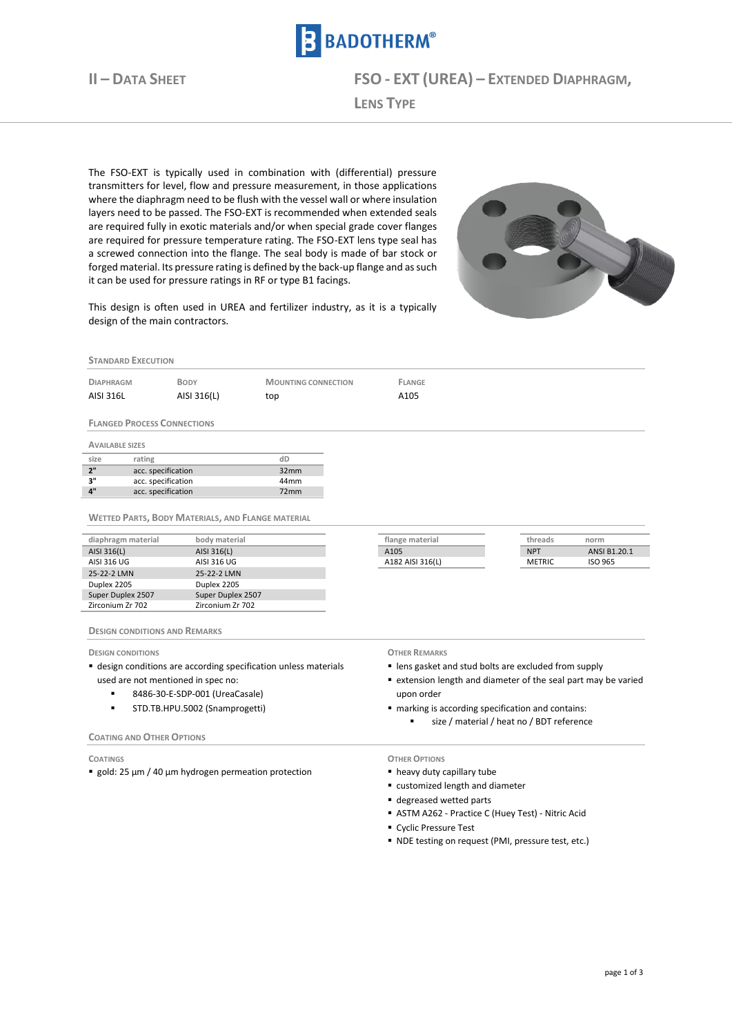

**II – DATA SHEET FSO - EXT (UREA) – EXTENDED DIAPHRAGM,**

**LENS TYPE**

The FSO-EXT is typically used in combination with (differential) pressure transmitters for level, flow and pressure measurement, in those applications where the diaphragm need to be flush with the vessel wall or where insulation layers need to be passed. The FSO-EXT is recommended when extended seals are required fully in exotic materials and/or when special grade cover flanges are required for pressure temperature rating. The FSO-EXT lens type seal has a screwed connection into the flange. The seal body is made of bar stock or forged material. Its pressure rating is defined by the back-up flange and as such it can be used for pressure ratings in RF or type B1 facings.



This design is often used in UREA and fertilizer industry, as it is a typically design of the main contractors.

## **STANDARD EXECUTION**

| <b>DIAPHRAGM</b> | <b>BODY</b> | <b>MOUNTING CONNECTION</b> | FLANGE |
|------------------|-------------|----------------------------|--------|
| AISI 316L        | AISI 316(L) | top                        | A105   |

**FLANGED PROCESS CONNECTIONS**

**AVAILABLE SIZES**

| size                      | rating             |                  |
|---------------------------|--------------------|------------------|
| 2"                        | acc. specification | 32 <sub>mm</sub> |
| יי ג                      | acc. specification | 44 <sub>mm</sub> |
| $\mathbf{A}^{\mathbf{u}}$ | acc. specification | 72mm             |

**WETTED PARTS, BODY MATERIALS, AND FLANGE MATERIAL**

| diaphragm material | body material     | flange material  | threads       | norm         |
|--------------------|-------------------|------------------|---------------|--------------|
| AISI 316(L)        | AISI 316(L)       | A105             | <b>NPT</b>    | ANSI B1.20.1 |
| AISI 316 UG        | AISI 316 UG       | A182 AISI 316(L) | <b>METRIC</b> | ISO 965      |
| 25-22-2 LMN        | 25-22-2 LMN       |                  |               |              |
| Duplex 2205        | Duplex 2205       |                  |               |              |
| Super Duplex 2507  | Super Duplex 2507 |                  |               |              |
| Zirconium Zr 702   | Zirconium Zr 702  |                  |               |              |

### **DESIGN CONDITIONS AND REMARKS**

**DESIGN CONDITIONS**

- design conditions are according specification unless materials used are not mentioned in spec no:
	- 8486-30-E-SDP-001 (UreaCasale)
	- STD.TB.HPU.5002 (Snamprogetti)

### **COATING AND OTHER OPTIONS**

**COATINGS**

■ gold: 25 µm / 40 µm hydrogen permeation protection

# **OTHER REMARKS**

lens gasket and stud bolts are excluded from supply

- extension length and diameter of the seal part may be varied upon order
- marking is according specification and contains:
	- size / material / heat no / BDT reference

## **OTHER OPTIONS**

- heavy duty capillary tube
- customized length and diameter
- degreased wetted parts
- ASTM A262 Practice C (Huey Test) Nitric Acid
- Cyclic Pressure Test
- NDE testing on request (PMI, pressure test, etc.)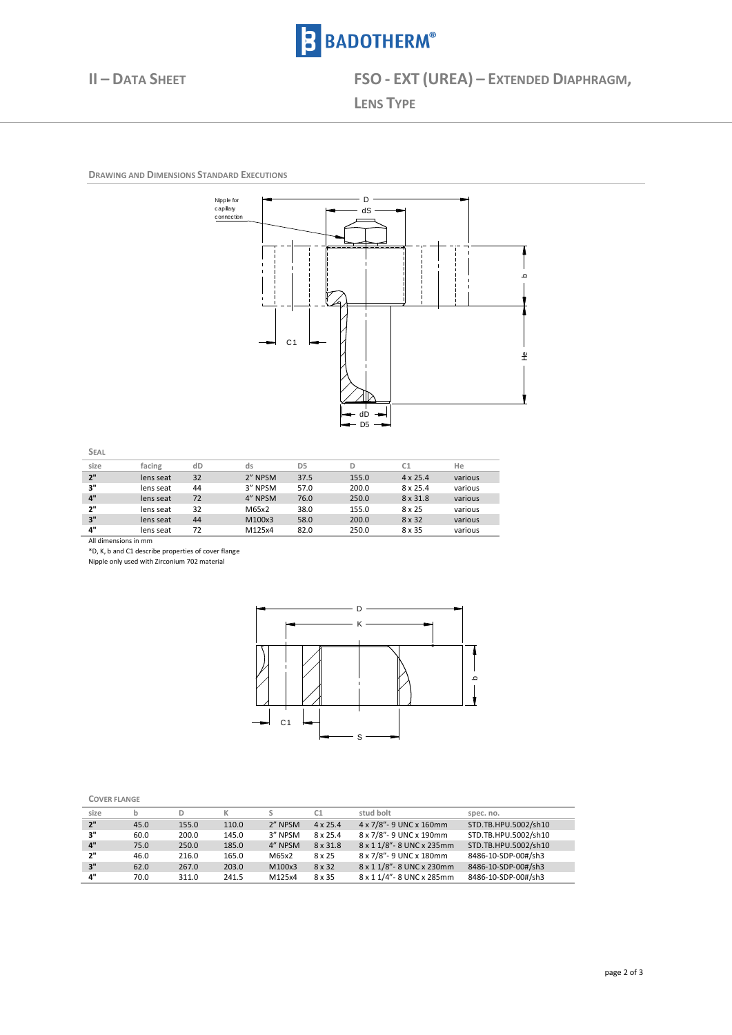

**II – DATA SHEET FSO - EXT (UREA) – EXTENDED DIAPHRAGM,**

 $\overline{a}$ 

**LENS TYPE**

**DRAWING AND DIMENSIONS STANDARD EXECUTIONS** 1



| × |  |
|---|--|
| I |  |

| size | facing    | dD | ds      | D <sub>5</sub> | D     | C1              | He      |
|------|-----------|----|---------|----------------|-------|-----------------|---------|
| 2"   | lens seat | 32 | 2" NPSM | 37.5           | 155.0 | $4 \times 25.4$ | various |
| 3"   | lens seat | 44 | 3" NPSM | 57.0           | 200.0 | $8 \times 25.4$ | various |
| 4"   | lens seat | 72 | 4" NPSM | 76.0           | 250.0 | 8 x 31.8        | various |
| 2"   | lens seat | 32 | M65x2   | 38.0           | 155.0 | 8 x 25          | various |
| 3"   | lens seat | 44 | M100x3  | 58.0           | 200.0 | 8 x 32          | various |
| 4"   | lens seat | 72 | M125x4  | 82.0           | 250.0 | 8 x 35          | various |

All dimensions in mm

\*D, K, b and C1 describe properties of cover flange

Nipple only used with Zirconium 702 material



| . .<br>. .<br>- 7<br>۰. |
|-------------------------|
|-------------------------|

| size |      |       |       |         |                 | stud bolt                 | spec. no.            |
|------|------|-------|-------|---------|-----------------|---------------------------|----------------------|
|      |      |       |       |         |                 |                           |                      |
| 2"   | 45.0 | 155.0 | 110.0 | 2" NPSM | $4 \times 25.4$ | 4 x 7/8" - 9 UNC x 160mm  | STD.TB.HPU.5002/sh10 |
| 3"   | 60.0 | 200.0 | 145.0 | 3" NPSM | $8 \times 25.4$ | 8 x 7/8"- 9 UNC x 190mm   | STD.TB.HPU.5002/sh10 |
| 4"   | 75.0 | 250.0 | 185.0 | 4" NPSM | 8 x 31.8        | 8 x 1 1/8"- 8 UNC x 235mm | STD.TB.HPU.5002/sh10 |
| 2"   | 46.0 | 216.0 | 165.0 | M65x2   | 8 x 25          | 8 x 7/8"- 9 UNC x 180mm   | 8486-10-SDP-00#/sh3  |
| 3"   | 62.0 | 267.0 | 203.0 | M100x3  | 8 x 32          | 8 x 1 1/8"- 8 UNC x 230mm | 8486-10-SDP-00#/sh3  |
| 4"   | 70.0 | 311.0 | 241.5 | M125x4  | 8 x 35          | 8 x 1 1/4"- 8 UNC x 285mm | 8486-10-SDP-00#/sh3  |